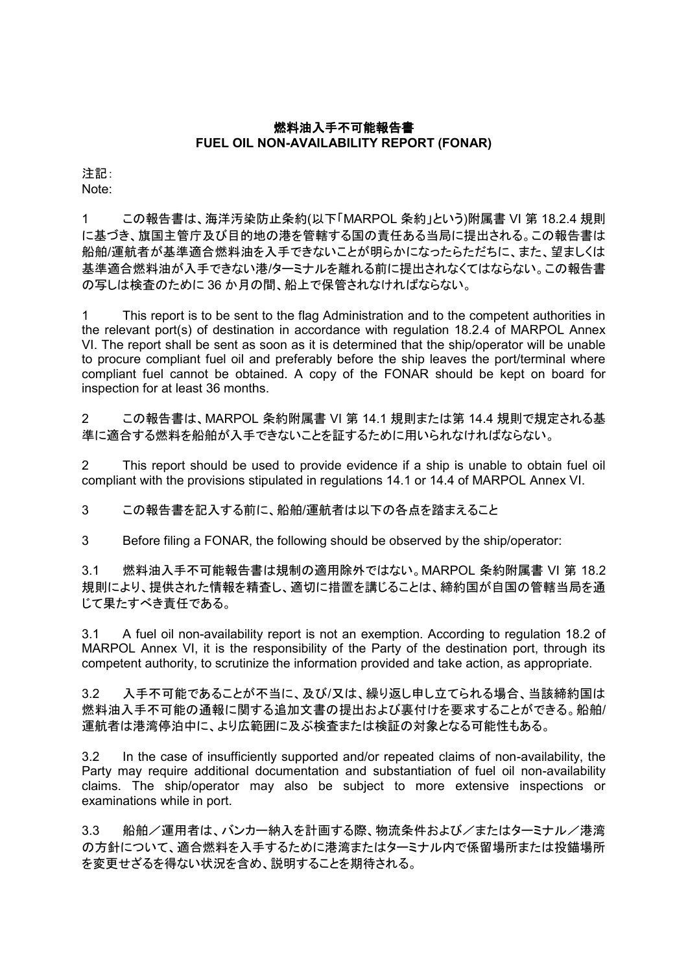## 燃料油入手不可能報告書 **FUEL OIL NON-AVAILABILITY REPORT (FONAR)**

注記: Note:

1 この報告書は、海洋汚染防止条約(以下「MARPOL 条約」という)附属書 VI 第 18.2.4 規則 に基づき、旗国主管庁及び目的地の港を管轄する国の責任ある当局に提出される。この報告書は 船舶/運航者が基準適合燃料油を入手できないことが明らかになったらただちに、また、望ましくは 基準適合燃料油が入手できない港/ターミナルを離れる前に提出されなくてはならない。この報告書 の写しは検査のために 36 か月の間、船上で保管されなければならない。

1 This report is to be sent to the flag Administration and to the competent authorities in the relevant port(s) of destination in accordance with regulation 18.2.4 of MARPOL Annex VI. The report shall be sent as soon as it is determined that the ship/operator will be unable to procure compliant fuel oil and preferably before the ship leaves the port/terminal where compliant fuel cannot be obtained. A copy of the FONAR should be kept on board for inspection for at least 36 months.

2 この報告書は、MARPOL 条約附属書 VI 第 14.1 規則または第 14.4 規則で規定される基 準に適合する燃料を船舶が入手できないことを証するために用いられなければならない。

2 This report should be used to provide evidence if a ship is unable to obtain fuel oil compliant with the provisions stipulated in regulations 14.1 or 14.4 of MARPOL Annex VI.

3 この報告書を記入する前に、船舶/運航者は以下の各点を踏まえること

3 Before filing a FONAR, the following should be observed by the ship/operator:

3.1 燃料油入手不可能報告書は規制の適用除外ではない。MARPOL 条約附属書 VI 第 18.2 規則により、提供された情報を精査し、適切に措置を講じることは、締約国が自国の管轄当局を通 じて果たすべき責任である。

3.1 A fuel oil non-availability report is not an exemption. According to regulation 18.2 of MARPOL Annex VI, it is the responsibility of the Party of the destination port, through its competent authority, to scrutinize the information provided and take action, as appropriate.

3.2 入手不可能であることが不当に、及び/又は、繰り返し申し立てられる場合、当該締約国は 燃料油入手不可能の通報に関する追加文書の提出および裏付けを要求することができる。船舶/ 運航者は港湾停泊中に、より広範囲に及ぶ検査または検証の対象となる可能性もある。

3.2 In the case of insufficiently supported and/or repeated claims of non-availability, the Party may require additional documentation and substantiation of fuel oil non-availability claims. The ship/operator may also be subject to more extensive inspections or examinations while in port.

3.3 船舶/運用者は、バンカー納入を計画する際、物流条件および/またはターミナル/港湾 の方針について、適合燃料を入手するために港湾またはターミナル内で係留場所または投錨場所 を変更せざるを得ない状況を含め、説明することを期待される。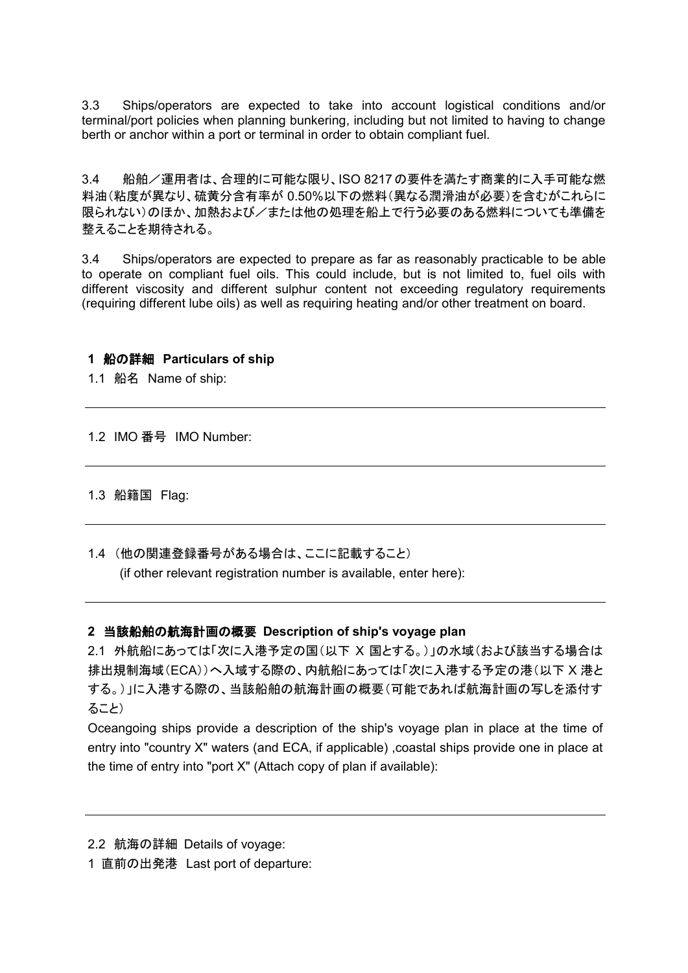3.3 Ships/operators are expected to take into account logistical conditions and/or terminal/port policies when planning bunkering, including but not limited to having to change berth or anchor within a port or terminal in order to obtain compliant fuel.

3.4 船舶/運用者は、合理的に可能な限り、ISO 8217の要件を満たす商業的に入手可能な燃 料油(粘度が異なり、硫黄分含有率が 0.50%以下の燃料(異なる潤滑油が必要)を含むがこれらに 限られない)のほか、加熱および/または他の処理を船上で行う必要のある燃料についても準備を 整えることを期待される。

3.4 Ships/operators are expected to prepare as far as reasonably practicable to be able to operate on compliant fuel oils. This could include, but is not limited to, fuel oils with different viscosity and different sulphur content not exceeding regulatory requirements (requiring different lube oils) as well as requiring heating and/or other treatment on board.

#### **1** 船の詳細 **Particulars of ship**

1.1 船名 Name of ship:

1.2 IMO 番号 IMO Number:

1.3 船籍国 Flag:

1.4 (他の関連登録番号がある場合は、ここに記載すること) (if other relevant registration number is available, enter here):

#### **2** 当該船舶の航海計画の概要 **Description of ship's voyage plan**

2.1 外航船にあっては「次に入港予定の国(以下 X 国とする。)」の水域(および該当する場合は 排出規制海域(ECA))へ入域する際の、内航船にあっては「次に入港する予定の港(以下 X 港と する。)」に入港する際の、当該船舶の航海計画の概要(可能であれば航海計画の写しを添付す ること)

Oceangoing ships provide a description of the ship's voyage plan in place at the time of entry into "country X" waters (and ECA, if applicable) ,coastal ships provide one in place at the time of entry into "port X" (Attach copy of plan if available):

- 2.2 航海の詳細 Details of voyage:
- 1 直前の出発港 Last port of departure: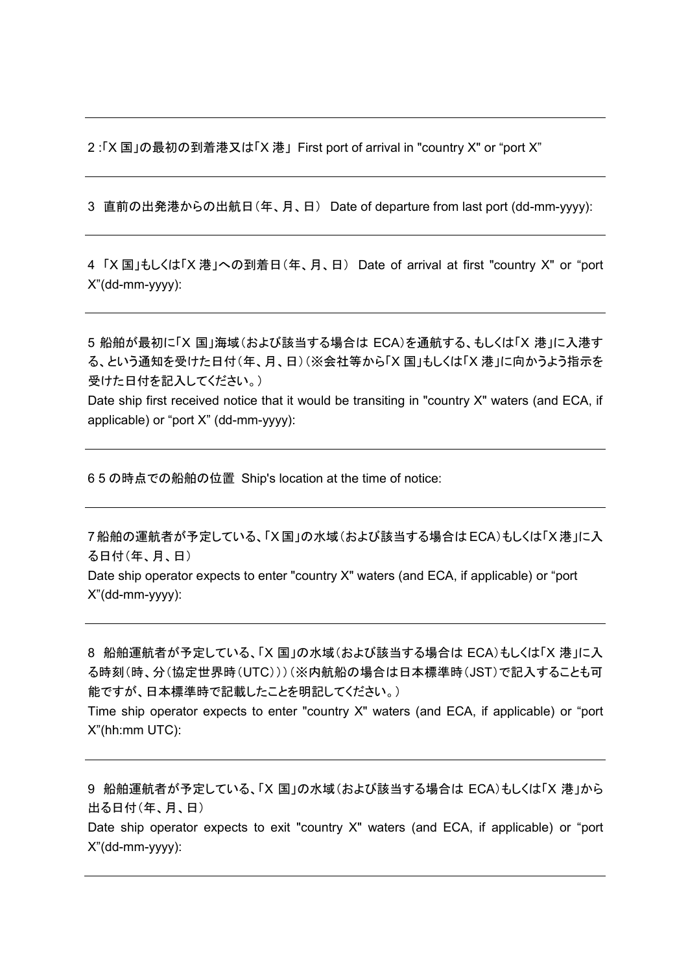2 :「X 国」の最初の到着港又は「X 港」 First port of arrival in "country X" or "port X"

3 直前の出発港からの出航日(年、月、日) Date of departure from last port (dd-mm-yyyy):

4 「X 国」もしくは「X 港」への到着日(年、月、日) Date of arrival at first "country X" or "port X"(dd-mm-yyyy):

5 船舶が最初に「X 国」海域(および該当する場合は ECA)を通航する、もしくは「X 港」に入港す る、という通知を受けた日付(年、月、日)(※会社等から「X 国」もしくは「X 港」に向かうよう指示を 受けた日付を記入してください。)

Date ship first received notice that it would be transiting in "country X" waters (and ECA, if applicable) or "port X" (dd-mm-yyyy):

6 5 の時点での船舶の位置 Ship's location at the time of notice:

7船舶の運航者が予定している、「X 国」の水域(および該当する場合はECA)もしくは「X 港」に入 る日付(年、月、日)

Date ship operator expects to enter "country X" waters (and ECA, if applicable) or "port X"(dd-mm-yyyy):

8 船舶運航者が予定している、「X 国」の水域(および該当する場合は ECA)もしくは「X 港」に入 る時刻(時、分(協定世界時(UTC)))(※内航船の場合は日本標準時(JST)で記入することも可 能ですが、日本標準時で記載したことを明記してください。)

Time ship operator expects to enter "country X" waters (and ECA, if applicable) or "port X"(hh:mm UTC):

9 船舶運航者が予定している、「X 国」の水域(および該当する場合は ECA)もしくは「X 港」から 出る日付(年、月、日) Date ship operator expects to exit "country X" waters (and ECA, if applicable) or "port X"(dd-mm-yyyy):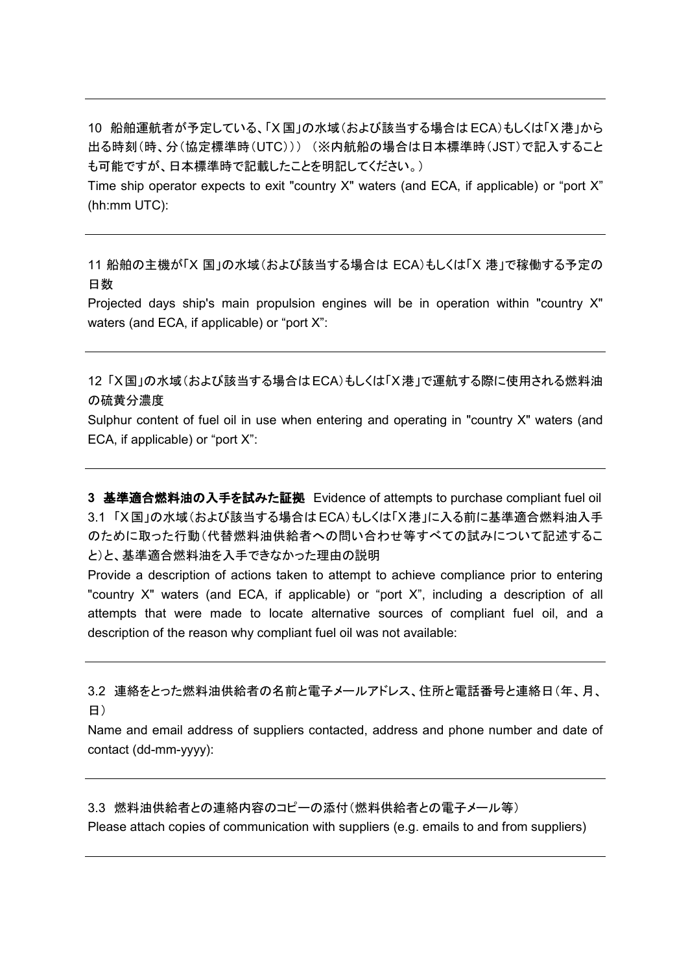10 船舶運航者が予定している、「X 国」の水域(および該当する場合は ECA)もしくは「X 港」から 出る時刻(時、分(協定標準時(UTC))) (※内航船の場合は日本標準時(JST)で記入すること も可能ですが、日本標準時で記載したことを明記してください。)

Time ship operator expects to exit "country X" waters (and ECA, if applicable) or "port X" (hh:mm UTC):

11 船舶の主機が「X 国」の水域(および該当する場合は ECA)もしくは「X 港」で稼働する予定の 日数

Projected days ship's main propulsion engines will be in operation within "country X" waters (and ECA, if applicable) or "port X":

12 「X国」の水域(および該当する場合はECA)もしくは「X港」で運航する際に使用される燃料油 の硫黄分濃度

Sulphur content of fuel oil in use when entering and operating in "country X" waters (and ECA, if applicable) or "port X":

**3** 基準適合燃料油の入手を試みた証拠 Evidence of attempts to purchase compliant fuel oil 3.1 「X国」の水域(および該当する場合はECA)もしくは「X港」に入る前に基準適合燃料油入手 のために取った行動(代替燃料油供給者への問い合わせ等すべての試みについて記述するこ と)と、基準適合燃料油を入手できなかった理由の説明

Provide a description of actions taken to attempt to achieve compliance prior to entering "country X" waters (and ECA, if applicable) or "port X", including a description of all attempts that were made to locate alternative sources of compliant fuel oil, and a description of the reason why compliant fuel oil was not available:

3.2 連絡をとった燃料油供給者の名前と電子メールアドレス、住所と電話番号と連絡日(年、月、 日)

Name and email address of suppliers contacted, address and phone number and date of contact (dd-mm-yyyy):

3.3 燃料油供給者との連絡内容のコピーの添付(燃料供給者との電子メール等)

Please attach copies of communication with suppliers (e.g. emails to and from suppliers)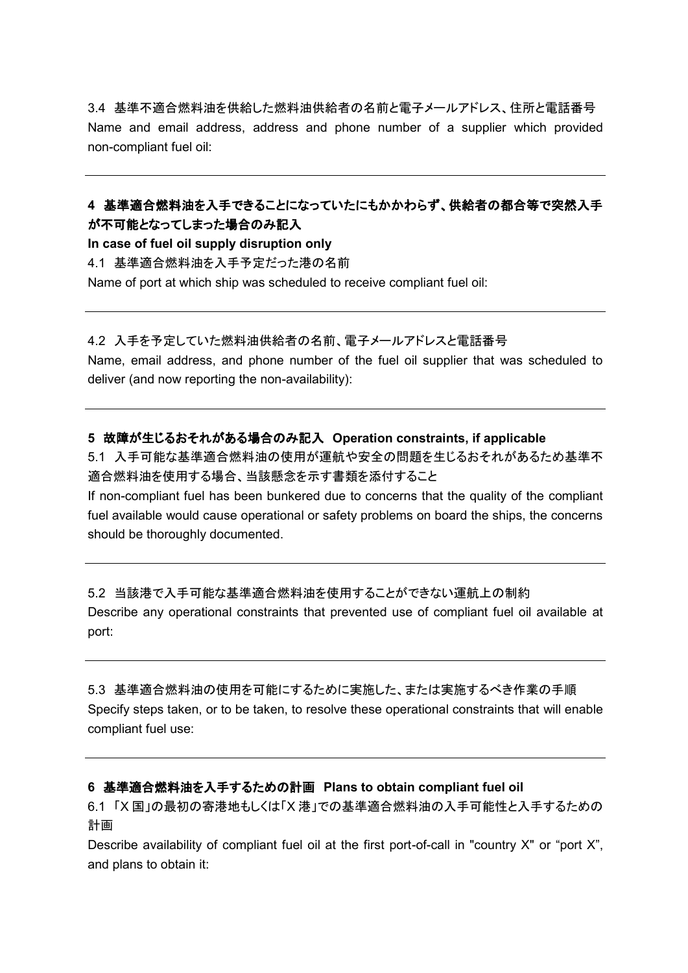3.4 基準不適合燃料油を供給した燃料油供給者の名前と電子メールアドレス、住所と電話番号 Name and email address, address and phone number of a supplier which provided non-compliant fuel oil:

# **4** 基準適合燃料油を入手できることになっていたにもかかわらず、供給者の都合等で突然入手 が不可能となってしまった場合のみ記入

**In case of fuel oil supply disruption only** 4.1 基準適合燃料油を入手予定だった港の名前 Name of port at which ship was scheduled to receive compliant fuel oil:

## 4.2 入手を予定していた燃料油供給者の名前、電子メールアドレスと電話番号

Name, email address, and phone number of the fuel oil supplier that was scheduled to deliver (and now reporting the non-availability):

# **5** 故障が生じるおそれがある場合のみ記入 **Operation constraints, if applicable**

5.1 入手可能な基準適合燃料油の使用が運航や安全の問題を生じるおそれがあるため基準不 適合燃料油を使用する場合、当該懸念を示す書類を添付すること

If non-compliant fuel has been bunkered due to concerns that the quality of the compliant fuel available would cause operational or safety problems on board the ships, the concerns should be thoroughly documented.

5.2 当該港で入手可能な基準適合燃料油を使用することができない運航上の制約 Describe any operational constraints that prevented use of compliant fuel oil available at port:

5.3 基準適合燃料油の使用を可能にするために実施した、または実施するべき作業の手順 Specify steps taken, or to be taken, to resolve these operational constraints that will enable compliant fuel use:

# **6** 基準適合燃料油を入手するための計画 **Plans to obtain compliant fuel oil**

6.1 「X 国」の最初の寄港地もしくは「X 港」での基準適合燃料油の入手可能性と入手するための 計画

Describe availability of compliant fuel oil at the first port-of-call in "country X" or "port X", and plans to obtain it: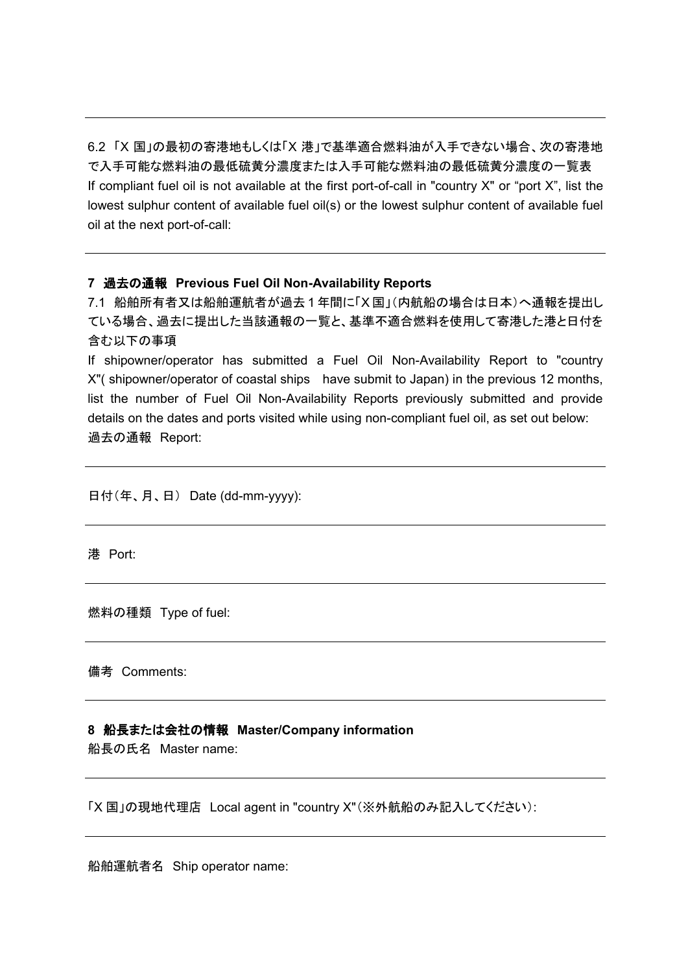6.2 「X 国」の最初の寄港地もしくは「X 港」で基準適合燃料油が入手できない場合、次の寄港地 で入手可能な燃料油の最低硫黄分濃度または入手可能な燃料油の最低硫黄分濃度の一覧表 If compliant fuel oil is not available at the first port-of-call in "country X" or "port X", list the lowest sulphur content of available fuel oil(s) or the lowest sulphur content of available fuel oil at the next port-of-call:

#### **7** 過去の通報 **Previous Fuel Oil Non-Availability Reports**

7.1 船舶所有者又は船舶運航者が過去 1 年間に「X 国」(内航船の場合は日本)へ通報を提出し ている場合、過去に提出した当該通報の一覧と、基準不適合燃料を使用して寄港した港と日付を 含む以下の事項

If shipowner/operator has submitted a Fuel Oil Non-Availability Report to "country X"( shipowner/operator of coastal ships have submit to Japan) in the previous 12 months, list the number of Fuel Oil Non-Availability Reports previously submitted and provide details on the dates and ports visited while using non-compliant fuel oil, as set out below: 過去の通報 Report:

日付(年、月、日) Date (dd-mm-yyyy):

港 Port:

燃料の種類 Type of fuel:

備考 Comments:

#### **8** 船長または会社の情報 **Master/Company information**

船長の氏名 Master name:

「X 国」の現地代理店 Local agent in "country X"(※外航船のみ記入してください):

船舶運航者名 Ship operator name: